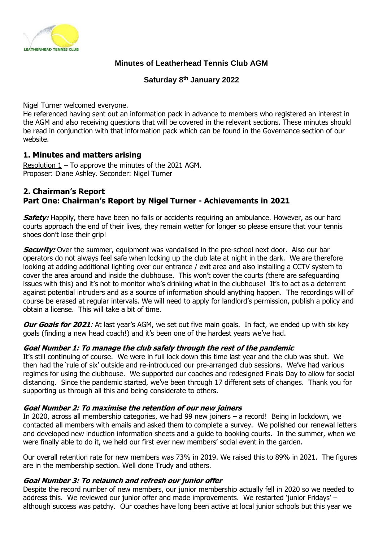

### **Minutes of Leatherhead Tennis Club AGM**

**Saturday 8th January 2022**

Nigel Turner welcomed everyone.

He referenced having sent out an information pack in advance to members who registered an interest in the AGM and also receiving questions that will be covered in the relevant sections. These minutes should be read in conjunction with that information pack which can be found in the Governance section of our website.

# **1. Minutes and matters arising**

Resolution  $1 -$  To approve the minutes of the 2021 AGM. Proposer: Diane Ashley. Seconder: Nigel Turner

### **2. Chairman's Report Part One: Chairman's Report by Nigel Turner - Achievements in 2021**

**Safety:** Happily, there have been no falls or accidents requiring an ambulance. However, as our hard courts approach the end of their lives, they remain wetter for longer so please ensure that your tennis shoes don't lose their grip!

**Security:** Over the summer, equipment was vandalised in the pre-school next door. Also our bar operators do not always feel safe when locking up the club late at night in the dark. We are therefore looking at adding additional lighting over our entrance / exit area and also installing a CCTV system to cover the area around and inside the clubhouse. This won't cover the courts (there are safeguarding issues with this) and it's not to monitor who's drinking what in the clubhouse! It's to act as a deterrent against potential intruders and as a source of information should anything happen. The recordings will of course be erased at regular intervals. We will need to apply for landlord's permission, publish a policy and obtain a license. This will take a bit of time.

**Our Goals for 2021:** At last year's AGM, we set out five main goals. In fact, we ended up with six key goals (finding a new head coach!) and it's been one of the hardest years we've had.

#### **Goal Number 1: To manage the club safely through the rest of the pandemic**

It's still continuing of course. We were in full lock down this time last year and the club was shut. We then had the 'rule of six' outside and re-introduced our pre-arranged club sessions. We've had various regimes for using the clubhouse. We supported our coaches and redesigned Finals Day to allow for social distancing. Since the pandemic started, we've been through 17 different sets of changes. Thank you for supporting us through all this and being considerate to others.

#### **Goal Number 2: To maximise the retention of our new joiners**

In 2020, across all membership categories, we had 99 new joiners – a record! Being in lockdown, we contacted all members with emails and asked them to complete a survey. We polished our renewal letters and developed new induction information sheets and a guide to booking courts. In the summer, when we were finally able to do it, we held our first ever new members' social event in the garden.

Our overall retention rate for new members was 73% in 2019. We raised this to 89% in 2021. The figures are in the membership section. Well done Trudy and others.

#### **Goal Number 3: To relaunch and refresh our junior offer**

Despite the record number of new members, our junior membership actually fell in 2020 so we needed to address this. We reviewed our junior offer and made improvements. We restarted 'junior Fridays' – although success was patchy. Our coaches have long been active at local junior schools but this year we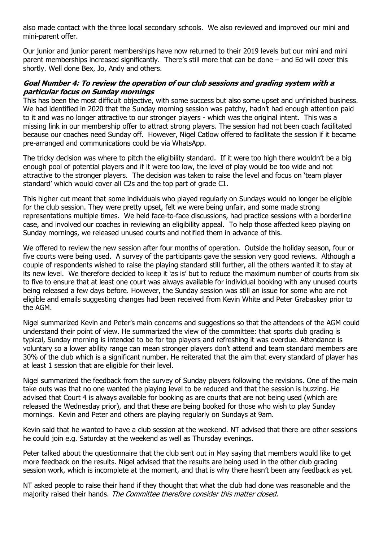also made contact with the three local secondary schools. We also reviewed and improved our mini and mini-parent offer.

Our junior and junior parent memberships have now returned to their 2019 levels but our mini and mini parent memberships increased significantly. There's still more that can be done – and Ed will cover this shortly. Well done Bex, Jo, Andy and others.

#### **Goal Number 4: To review the operation of our club sessions and grading system with a particular focus on Sunday mornings**

This has been the most difficult objective, with some success but also some upset and unfinished business. We had identified in 2020 that the Sunday morning session was patchy, hadn't had enough attention paid to it and was no longer attractive to our stronger players - which was the original intent. This was a missing link in our membership offer to attract strong players. The session had not been coach facilitated because our coaches need Sunday off. However, Nigel Catlow offered to facilitate the session if it became pre-arranged and communications could be via WhatsApp.

The tricky decision was where to pitch the eligibility standard. If it were too high there wouldn't be a big enough pool of potential players and if it were too low, the level of play would be too wide and not attractive to the stronger players. The decision was taken to raise the level and focus on 'team player standard' which would cover all C2s and the top part of grade C1.

This higher cut meant that some individuals who played regularly on Sundays would no longer be eligible for the club session. They were pretty upset, felt we were being unfair, and some made strong representations multiple times. We held face-to-face discussions, had practice sessions with a borderline case, and involved our coaches in reviewing an eligibility appeal. To help those affected keep playing on Sunday mornings, we released unused courts and notified them in advance of this.

We offered to review the new session after four months of operation. Outside the holiday season, four or five courts were being used. A survey of the participants gave the session very good reviews. Although a couple of respondents wished to raise the playing standard still further, all the others wanted it to stay at its new level. We therefore decided to keep it 'as is' but to reduce the maximum number of courts from six to five to ensure that at least one court was always available for individual booking with any unused courts being released a few days before. However, the Sunday session was still an issue for some who are not eligible and emails suggesting changes had been received from Kevin White and Peter Grabaskey prior to the AGM.

Nigel summarized Kevin and Peter's main concerns and suggestions so that the attendees of the AGM could understand their point of view. He summarized the view of the committee: that sports club grading is typical, Sunday morning is intended to be for top players and refreshing it was overdue. Attendance is voluntary so a lower ability range can mean stronger players don't attend and team standard members are 30% of the club which is a significant number. He reiterated that the aim that every standard of player has at least 1 session that are eligible for their level.

Nigel summarized the feedback from the survey of Sunday players following the revisions. One of the main take outs was that no one wanted the playing level to be reduced and that the session is buzzing. He advised that Court 4 is always available for booking as are courts that are not being used (which are released the Wednesday prior), and that these are being booked for those who wish to play Sunday mornings. Kevin and Peter and others are playing regularly on Sundays at 9am.

Kevin said that he wanted to have a club session at the weekend. NT advised that there are other sessions he could join e.g. Saturday at the weekend as well as Thursday evenings.

Peter talked about the questionnaire that the club sent out in May saying that members would like to get more feedback on the results. Nigel advised that the results are being used in the other club grading session work, which is incomplete at the moment, and that is why there hasn't been any feedback as yet.

NT asked people to raise their hand if they thought that what the club had done was reasonable and the majority raised their hands. The Committee therefore consider this matter closed.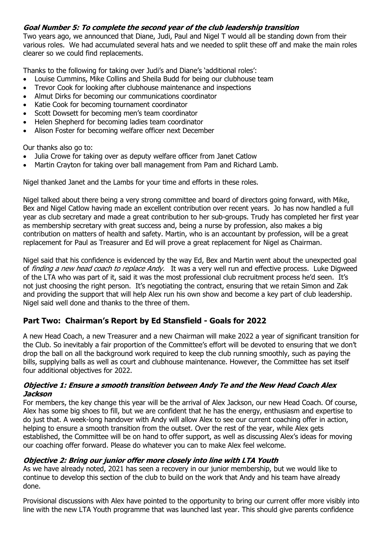# **Goal Number 5: To complete the second year of the club leadership transition**

Two years ago, we announced that Diane, Judi, Paul and Nigel T would all be standing down from their various roles. We had accumulated several hats and we needed to split these off and make the main roles clearer so we could find replacements.

Thanks to the following for taking over Judi's and Diane's 'additional roles':

- Louise Cummins, Mike Collins and Sheila Budd for being our clubhouse team
- Trevor Cook for looking after clubhouse maintenance and inspections
- Almut Dirks for becoming our communications coordinator
- Katie Cook for becoming tournament coordinator
- Scott Dowsett for becoming men's team coordinator
- Helen Shepherd for becoming ladies team coordinator
- Alison Foster for becoming welfare officer next December

Our thanks also go to:

- Julia Crowe for taking over as deputy welfare officer from Janet Catlow
- Martin Crayton for taking over ball management from Pam and Richard Lamb.

Nigel thanked Janet and the Lambs for your time and efforts in these roles.

Nigel talked about there being a very strong committee and board of directors going forward, with Mike, Bex and Nigel Catlow having made an excellent contribution over recent years. Jo has now handled a full year as club secretary and made a great contribution to her sub-groups. Trudy has completed her first year as membership secretary with great success and, being a nurse by profession, also makes a big contribution on matters of health and safety. Martin, who is an accountant by profession, will be a great replacement for Paul as Treasurer and Ed will prove a great replacement for Nigel as Chairman.

Nigel said that his confidence is evidenced by the way Ed, Bex and Martin went about the unexpected goal of finding a new head coach to replace Andy.It was a very well run and effective process. Luke Digweed of the LTA who was part of it, said it was the most professional club recruitment process he'd seen. It's not just choosing the right person. It's negotiating the contract, ensuring that we retain Simon and Zak and providing the support that will help Alex run his own show and become a key part of club leadership. Nigel said well done and thanks to the three of them.

# **Part Two: Chairman's Report by Ed Stansfield - Goals for 2022**

A new Head Coach, a new Treasurer and a new Chairman will make 2022 a year of significant transition for the Club. So inevitably a fair proportion of the Committee's effort will be devoted to ensuring that we don't drop the ball on all the background work required to keep the club running smoothly, such as paying the bills, supplying balls as well as court and clubhouse maintenance. However, the Committee has set itself four additional objectives for 2022.

#### **Objective 1: Ensure a smooth transition between Andy Te and the New Head Coach Alex Jackson**

For members, the key change this year will be the arrival of Alex Jackson, our new Head Coach. Of course, Alex has some big shoes to fill, but we are confident that he has the energy, enthusiasm and expertise to do just that. A week-long handover with Andy will allow Alex to see our current coaching offer in action, helping to ensure a smooth transition from the outset. Over the rest of the year, while Alex gets established, the Committee will be on hand to offer support, as well as discussing Alex's ideas for moving our coaching offer forward. Please do whatever you can to make Alex feel welcome.

# **Objective 2: Bring our junior offer more closely into line with LTA Youth**

As we have already noted, 2021 has seen a recovery in our junior membership, but we would like to continue to develop this section of the club to build on the work that Andy and his team have already done.

Provisional discussions with Alex have pointed to the opportunity to bring our current offer more visibly into line with the new LTA Youth programme that was launched last year. This should give parents confidence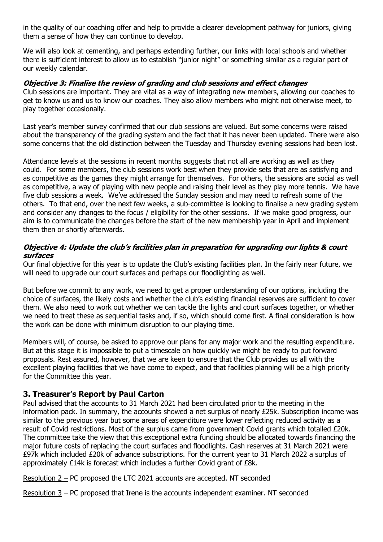in the quality of our coaching offer and help to provide a clearer development pathway for juniors, giving them a sense of how they can continue to develop.

We will also look at cementing, and perhaps extending further, our links with local schools and whether there is sufficient interest to allow us to establish "junior night" or something similar as a regular part of our weekly calendar.

### **Objective 3: Finalise the review of grading and club sessions and effect changes**

Club sessions are important. They are vital as a way of integrating new members, allowing our coaches to get to know us and us to know our coaches. They also allow members who might not otherwise meet, to play together occasionally.

Last year's member survey confirmed that our club sessions are valued. But some concerns were raised about the transparency of the grading system and the fact that it has never been updated. There were also some concerns that the old distinction between the Tuesday and Thursday evening sessions had been lost.

Attendance levels at the sessions in recent months suggests that not all are working as well as they could. For some members, the club sessions work best when they provide sets that are as satisfying and as competitive as the games they might arrange for themselves. For others, the sessions are social as well as competitive, a way of playing with new people and raising their level as they play more tennis. We have five club sessions a week. We've addressed the Sunday session and may need to refresh some of the others. To that end, over the next few weeks, a sub-committee is looking to finalise a new grading system and consider any changes to the focus / eligibility for the other sessions. If we make good progress, our aim is to communicate the changes before the start of the new membership year in April and implement them then or shortly afterwards.

#### **Objective 4: Update the club's facilities plan in preparation for upgrading our lights & court surfaces**

Our final objective for this year is to update the Club's existing facilities plan. In the fairly near future, we will need to upgrade our court surfaces and perhaps our floodlighting as well.

But before we commit to any work, we need to get a proper understanding of our options, including the choice of surfaces, the likely costs and whether the club's existing financial reserves are sufficient to cover them. We also need to work out whether we can tackle the lights and court surfaces together, or whether we need to treat these as sequential tasks and, if so, which should come first. A final consideration is how the work can be done with minimum disruption to our playing time.

Members will, of course, be asked to approve our plans for any major work and the resulting expenditure. But at this stage it is impossible to put a timescale on how quickly we might be ready to put forward proposals. Rest assured, however, that we are keen to ensure that the Club provides us all with the excellent playing facilities that we have come to expect, and that facilities planning will be a high priority for the Committee this year.

# **3. Treasurer's Report by Paul Carton**

Paul advised that the accounts to 31 March 2021 had been circulated prior to the meeting in the information pack. In summary, the accounts showed a net surplus of nearly £25k. Subscription income was similar to the previous year but some areas of expenditure were lower reflecting reduced activity as a result of Covid restrictions. Most of the surplus came from government Covid grants which totalled £20k. The committee take the view that this exceptional extra funding should be allocated towards financing the major future costs of replacing the court surfaces and floodlights. Cash reserves at 31 March 2021 were £97k which included £20k of advance subscriptions. For the current year to 31 March 2022 a surplus of approximately £14k is forecast which includes a further Covid grant of £8k.

Resolution 2 – PC proposed the LTC 2021 accounts are accepted. NT seconded

Resolution 3 – PC proposed that Irene is the accounts independent examiner. NT seconded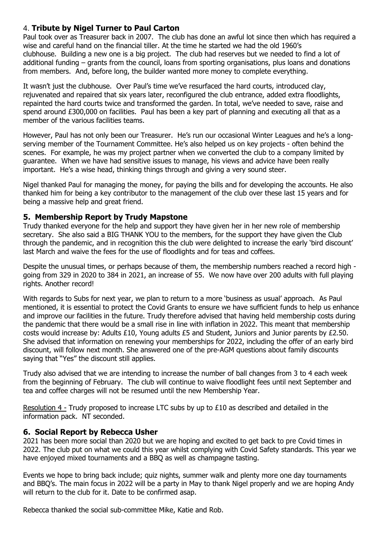# 4. **Tribute by Nigel Turner to Paul Carton**

Paul took over as Treasurer back in 2007. The club has done an awful lot since then which has required a wise and careful hand on the financial tiller. At the time he started we had the old 1960's clubhouse. Building a new one is a big project. The club had reserves but we needed to find a lot of additional funding – grants from the council, loans from sporting organisations, plus loans and donations from members. And, before long, the builder wanted more money to complete everything.

It wasn't just the clubhouse. Over Paul's time we've resurfaced the hard courts, introduced clay, rejuvenated and repaired that six years later, reconfigured the club entrance, added extra floodlights, repainted the hard courts twice and transformed the garden. In total, we've needed to save, raise and spend around £300,000 on facilities. Paul has been a key part of planning and executing all that as a member of the various facilities teams.

However, Paul has not only been our Treasurer. He's run our occasional Winter Leagues and he's a longserving member of the Tournament Committee. He's also helped us on key projects - often behind the scenes. For example, he was my project partner when we converted the club to a company limited by guarantee. When we have had sensitive issues to manage, his views and advice have been really important. He's a wise head, thinking things through and giving a very sound steer.

Nigel thanked Paul for managing the money, for paying the bills and for developing the accounts. He also thanked him for being a key contributor to the management of the club over these last 15 years and for being a massive help and great friend.

# **5. Membership Report by Trudy Mapstone**

Trudy thanked everyone for the help and support they have given her in her new role of membership secretary. She also said a BIG THANK YOU to the members, for the support they have given the Club through the pandemic, and in recognition this the club were delighted to increase the early 'bird discount' last March and waive the fees for the use of floodlights and for teas and coffees.

Despite the unusual times, or perhaps because of them, the membership numbers reached a record high going from 329 in 2020 to 384 in 2021, an increase of 55. We now have over 200 adults with full playing rights. Another record!

With regards to Subs for next year, we plan to return to a more 'business as usual' approach. As Paul mentioned, it is essential to protect the Covid Grants to ensure we have sufficient funds to help us enhance and improve our facilities in the future. Trudy therefore advised that having held membership costs during the pandemic that there would be a small rise in line with inflation in 2022. This meant that membership costs would increase by: Adults £10, Young adults £5 and Student, Juniors and Junior parents by £2.50. She advised that information on renewing your memberships for 2022, including the offer of an early bird discount, will follow next month. She answered one of the pre-AGM questions about family discounts saying that "Yes" the discount still applies.

Trudy also advised that we are intending to increase the number of ball changes from 3 to 4 each week from the beginning of February. The club will continue to waive floodlight fees until next September and tea and coffee charges will not be resumed until the new Membership Year.

Resolution 4 - Trudy proposed to increase LTC subs by up to £10 as described and detailed in the information pack. NT seconded.

# **6. Social Report by Rebecca Usher**

2021 has been more social than 2020 but we are hoping and excited to get back to pre Covid times in 2022. The club put on what we could this year whilst complying with Covid Safety standards. This year we have enjoyed mixed tournaments and a BBQ as well as champagne tasting.

Events we hope to bring back include; quiz nights, summer walk and plenty more one day tournaments and BBQ's. The main focus in 2022 will be a party in May to thank Nigel properly and we are hoping Andy will return to the club for it. Date to be confirmed asap.

Rebecca thanked the social sub-committee Mike, Katie and Rob.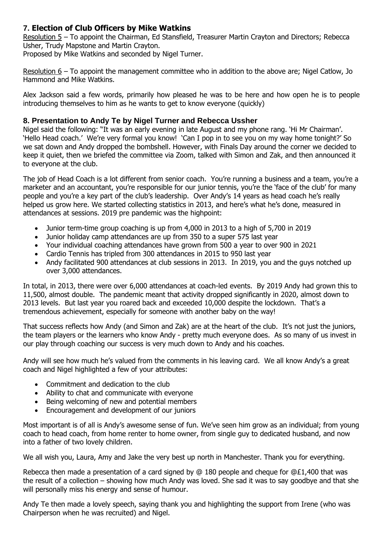# **7. Election of Club Officers by Mike Watkins**

Resolution 5 – To appoint the Chairman, Ed Stansfield, Treasurer Martin Crayton and Directors; Rebecca Usher, Trudy Mapstone and Martin Crayton.

Proposed by Mike Watkins and seconded by Nigel Turner.

Resolution 6 – To appoint the management committee who in addition to the above are; Nigel Catlow, Jo Hammond and Mike Watkins.

Alex Jackson said a few words, primarily how pleased he was to be here and how open he is to people introducing themselves to him as he wants to get to know everyone (quickly)

### **8. Presentation to Andy Te by Nigel Turner and Rebecca Ussher**

Nigel said the following: "It was an early evening in late August and my phone rang. 'Hi Mr Chairman'. 'Hello Head coach.' We're very formal you know! 'Can I pop in to see you on my way home tonight?' So we sat down and Andy dropped the bombshell. However, with Finals Day around the corner we decided to keep it quiet, then we briefed the committee via Zoom, talked with Simon and Zak, and then announced it to everyone at the club.

The job of Head Coach is a lot different from senior coach. You're running a business and a team, you're a marketer and an accountant, you're responsible for our junior tennis, you're the 'face of the club' for many people and you're a key part of the club's leadership. Over Andy's 14 years as head coach he's really helped us grow here. We started collecting statistics in 2013, and here's what he's done, measured in attendances at sessions. 2019 pre pandemic was the highpoint:

- Junior term-time group coaching is up from 4,000 in 2013 to a high of 5,700 in 2019
- Junior holiday camp attendances are up from 350 to a super 575 last year
- Your individual coaching attendances have grown from 500 a year to over 900 in 2021
- Cardio Tennis has tripled from 300 attendances in 2015 to 950 last year
- Andy facilitated 900 attendances at club sessions in 2013. In 2019, you and the guys notched up over 3,000 attendances.

In total, in 2013, there were over 6,000 attendances at coach-led events. By 2019 Andy had grown this to 11,500, almost double. The pandemic meant that activity dropped significantly in 2020, almost down to 2013 levels. But last year you roared back and exceeded 10,000 despite the lockdown. That's a tremendous achievement, especially for someone with another baby on the way!

That success reflects how Andy (and Simon and Zak) are at the heart of the club. It's not just the juniors, the team players or the learners who know Andy - pretty much everyone does. As so many of us invest in our play through coaching our success is very much down to Andy and his coaches.

Andy will see how much he's valued from the comments in his leaving card. We all know Andy's a great coach and Nigel highlighted a few of your attributes:

- Commitment and dedication to the club
- Ability to chat and communicate with everyone
- Being welcoming of new and potential members
- Encouragement and development of our juniors

Most important is of all is Andy's awesome sense of fun. We've seen him grow as an individual; from young coach to head coach, from home renter to home owner, from single guy to dedicated husband, and now into a father of two lovely children.

We all wish you, Laura, Amy and Jake the very best up north in Manchester. Thank you for everything.

Rebecca then made a presentation of a card signed by @ 180 people and cheque for @£1,400 that was the result of a collection – showing how much Andy was loved. She sad it was to say goodbye and that she will personally miss his energy and sense of humour.

Andy Te then made a lovely speech, saying thank you and highlighting the support from Irene (who was Chairperson when he was recruited) and Nigel.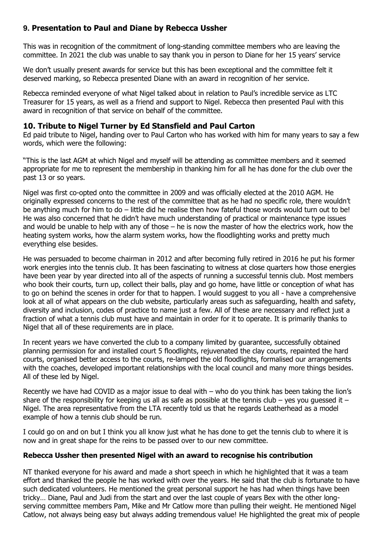# **9. Presentation to Paul and Diane by Rebecca Ussher**

This was in recognition of the commitment of long-standing committee members who are leaving the committee. In 2021 the club was unable to say thank you in person to Diane for her 15 years' service

We don't usually present awards for service but this has been exceptional and the committee felt it deserved marking, so Rebecca presented Diane with an award in recognition of her service.

Rebecca reminded everyone of what Nigel talked about in relation to Paul's incredible service as LTC Treasurer for 15 years, as well as a friend and support to Nigel. Rebecca then presented Paul with this award in recognition of that service on behalf of the committee.

### **10. Tribute to Nigel Turner by Ed Stansfield and Paul Carton**

Ed paid tribute to Nigel, handing over to Paul Carton who has worked with him for many years to say a few words, which were the following:

"This is the last AGM at which Nigel and myself will be attending as committee members and it seemed appropriate for me to represent the membership in thanking him for all he has done for the club over the past 13 or so years.

Nigel was first co-opted onto the committee in 2009 and was officially elected at the 2010 AGM. He originally expressed concerns to the rest of the committee that as he had no specific role, there wouldn't be anything much for him to do – little did he realise then how fateful those words would turn out to be! He was also concerned that he didn't have much understanding of practical or maintenance type issues and would be unable to help with any of those – he is now the master of how the electrics work, how the heating system works, how the alarm system works, how the floodlighting works and pretty much everything else besides.

He was persuaded to become chairman in 2012 and after becoming fully retired in 2016 he put his former work energies into the tennis club. It has been fascinating to witness at close quarters how those energies have been year by year directed into all of the aspects of running a successful tennis club. Most members who book their courts, turn up, collect their balls, play and go home, have little or conception of what has to go on behind the scenes in order for that to happen. I would suggest to you all - have a comprehensive look at all of what appears on the club website, particularly areas such as safeguarding, health and safety, diversity and inclusion, codes of practice to name just a few. All of these are necessary and reflect just a fraction of what a tennis club must have and maintain in order for it to operate. It is primarily thanks to Nigel that all of these requirements are in place.

In recent years we have converted the club to a company limited by guarantee, successfully obtained planning permission for and installed court 5 floodlights, rejuvenated the clay courts, repainted the hard courts, organised better access to the courts, re-lamped the old floodlights, formalised our arrangements with the coaches, developed important relationships with the local council and many more things besides. All of these led by Nigel.

Recently we have had COVID as a major issue to deal with – who do you think has been taking the lion's share of the responsibility for keeping us all as safe as possible at the tennis club – yes you quessed it – Nigel. The area representative from the LTA recently told us that he regards Leatherhead as a model example of how a tennis club should be run.

I could go on and on but I think you all know just what he has done to get the tennis club to where it is now and in great shape for the reins to be passed over to our new committee.

#### **Rebecca Ussher then presented Nigel with an award to recognise his contribution**

NT thanked everyone for his award and made a short speech in which he highlighted that it was a team effort and thanked the people he has worked with over the years. He said that the club is fortunate to have such dedicated volunteers. He mentioned the great personal support he has had when things have been tricky… Diane, Paul and Judi from the start and over the last couple of years Bex with the other longserving committee members Pam, Mike and Mr Catlow more than pulling their weight. He mentioned Nigel Catlow, not always being easy but always adding tremendous value! He highlighted the great mix of people